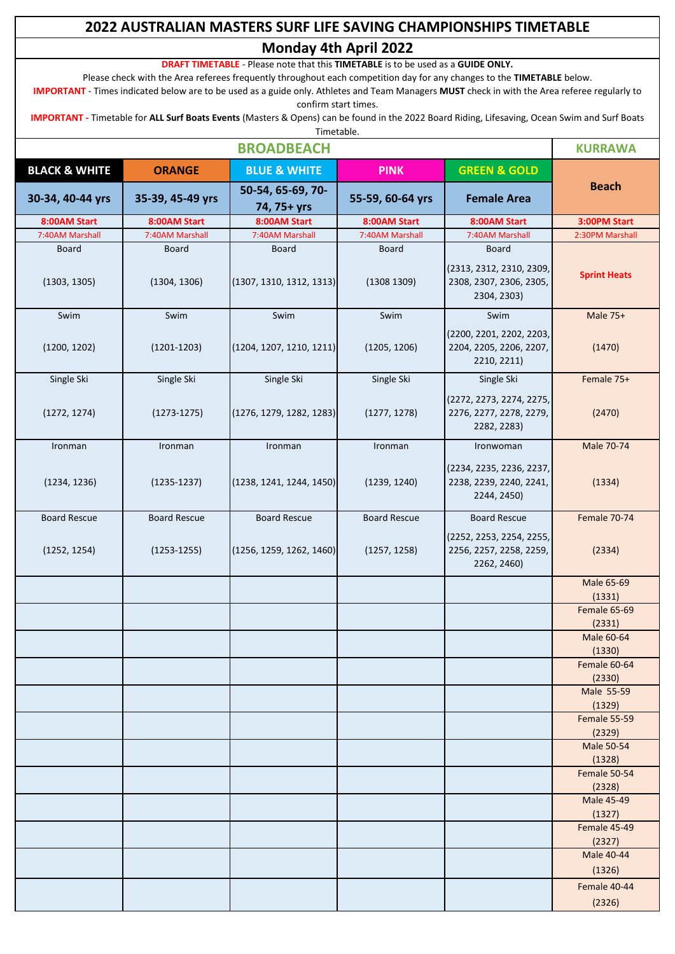# **2022 AUSTRALIAN MASTERS SURF LIFE SAVING CHAMPIONSHIPS TIMETABLE Monday 4th April 2022**

**DRAFT TIMETABLE** - Please note that this **TIMETABLE** is to be used as a **GUIDE ONLY.**

Please check with the Area referees frequently throughout each competition day for any changes to the **TIMETABLE** below.

**IMPORTANT** - Times indicated below are to be used as a guide only. Athletes and Team Managers **MUST** check in with the Area referee regularly to confirm start times.

**IMPORTANT -** Timetable for **ALL Surf Boats Events** (Masters & Opens) can be found in the 2022 Board Riding, Lifesaving, Ocean Swim and Surf Boats Timetable.

| <b>BROADBEACH</b>            |                              |                                          |                             |                                                                                    | <b>KURRAWA</b>         |
|------------------------------|------------------------------|------------------------------------------|-----------------------------|------------------------------------------------------------------------------------|------------------------|
| <b>BLACK &amp; WHITE</b>     | <b>ORANGE</b>                | <b>BLUE &amp; WHITE</b>                  | <b>PINK</b>                 | <b>GREEN &amp; GOLD</b>                                                            |                        |
| 30-34, 40-44 yrs             | 35-39, 45-49 yrs             | 50-54, 65-69, 70-<br>74, 75+ yrs         | 55-59, 60-64 yrs            | <b>Female Area</b>                                                                 | <b>Beach</b>           |
| 8:00AM Start                 | 8:00AM Start                 | 8:00AM Start                             | 8:00AM Start                | 8:00AM Start                                                                       | 3:00PM Start           |
| 7:40AM Marshall              | 7:40AM Marshall              | 7:40AM Marshall                          | 7:40AM Marshall             | 7:40AM Marshall                                                                    | 2:30PM Marshall        |
| <b>Board</b><br>(1303, 1305) | <b>Board</b><br>(1304, 1306) | <b>Board</b><br>(1307, 1310, 1312, 1313) | <b>Board</b><br>(1308 1309) | <b>Board</b><br>(2313, 2312, 2310, 2309,<br>2308, 2307, 2306, 2305,<br>2304, 2303) | <b>Sprint Heats</b>    |
| Swim                         | Swim                         | Swim                                     | Swim                        | Swim                                                                               | Male 75+               |
| (1200, 1202)                 | $(1201 - 1203)$              | (1204, 1207, 1210, 1211)                 | (1205, 1206)                | (2200, 2201, 2202, 2203,<br>2204, 2205, 2206, 2207,<br>2210, 2211)                 | (1470)                 |
| Single Ski                   | Single Ski                   | Single Ski                               | Single Ski                  | Single Ski                                                                         | Female 75+             |
| (1272, 1274)                 | $(1273 - 1275)$              | (1276, 1279, 1282, 1283)                 | (1277, 1278)                | (2272, 2273, 2274, 2275,<br>2276, 2277, 2278, 2279,<br>2282, 2283)                 | (2470)                 |
| Ironman                      | Ironman                      | Ironman                                  | Ironman                     | Ironwoman                                                                          | Male 70-74             |
| (1234, 1236)                 | $(1235 - 1237)$              | (1238, 1241, 1244, 1450)                 | (1239, 1240)                | (2234, 2235, 2236, 2237,<br>2238, 2239, 2240, 2241,<br>2244, 2450)                 | (1334)                 |
| <b>Board Rescue</b>          | <b>Board Rescue</b>          | <b>Board Rescue</b>                      | <b>Board Rescue</b>         | <b>Board Rescue</b>                                                                | Female 70-74           |
| (1252, 1254)                 | $(1253 - 1255)$              | (1256, 1259, 1262, 1460)                 | (1257, 1258)                | (2252, 2253, 2254, 2255,<br>2256, 2257, 2258, 2259,<br>2262, 2460)                 | (2334)                 |
|                              |                              |                                          |                             |                                                                                    | Male 65-69<br>(1331)   |
|                              |                              |                                          |                             |                                                                                    | Female 65-69<br>(2331) |
|                              |                              |                                          |                             |                                                                                    | Male 60-64<br>(1330)   |
|                              |                              |                                          |                             |                                                                                    | Female 60-64<br>(2330) |
|                              |                              |                                          |                             |                                                                                    | Male 55-59<br>(1329)   |
|                              |                              |                                          |                             |                                                                                    | Female 55-59           |
|                              |                              |                                          |                             |                                                                                    | (2329)<br>Male 50-54   |
|                              |                              |                                          |                             |                                                                                    | (1328)                 |
|                              |                              |                                          |                             |                                                                                    | Female 50-54<br>(2328) |
|                              |                              |                                          |                             |                                                                                    | Male 45-49<br>(1327)   |
|                              |                              |                                          |                             |                                                                                    | Female 45-49<br>(2327) |
|                              |                              |                                          |                             |                                                                                    | Male 40-44             |
|                              |                              |                                          |                             |                                                                                    | (1326)                 |
|                              |                              |                                          |                             |                                                                                    | Female 40-44<br>(2326) |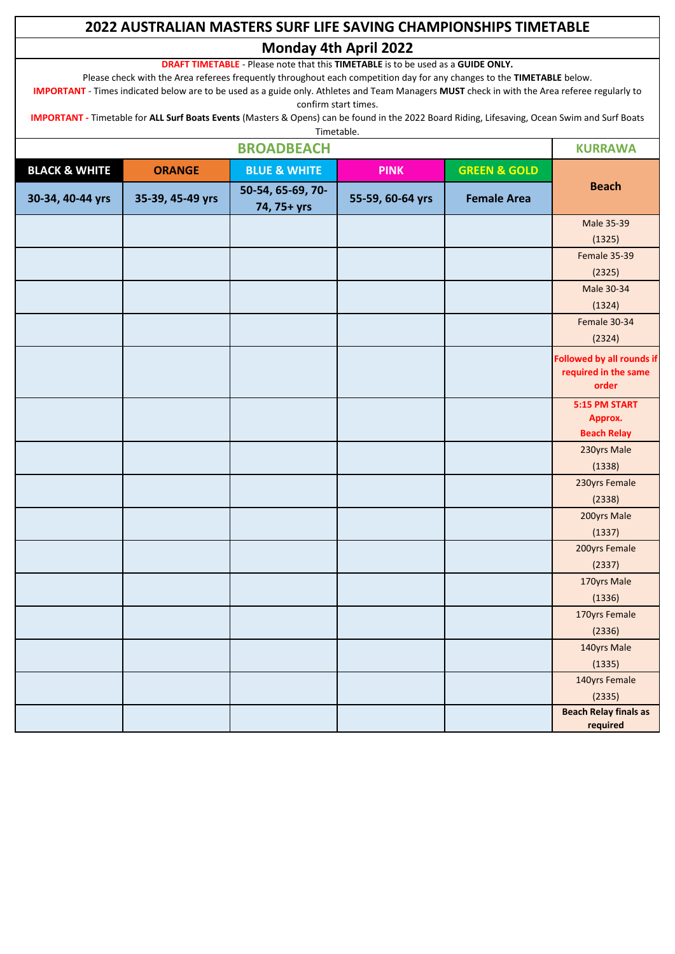# **2022 AUSTRALIAN MASTERS SURF LIFE SAVING CHAMPIONSHIPS TIMETABLE Monday 4th April 2022**

**DRAFT TIMETABLE** - Please note that this **TIMETABLE** is to be used as a **GUIDE ONLY.**

Please check with the Area referees frequently throughout each competition day for any changes to the **TIMETABLE** below.

**IMPORTANT** - Times indicated below are to be used as a guide only. Athletes and Team Managers **MUST** check in with the Area referee regularly to confirm start times.

**IMPORTANT -** Timetable for **ALL Surf Boats Events** (Masters & Opens) can be found in the 2022 Board Riding, Lifesaving, Ocean Swim and Surf Boats Timetable.

| <b>BROADBEACH</b>        |                  |                                  |                  |                         | <b>KURRAWA</b>                                                    |
|--------------------------|------------------|----------------------------------|------------------|-------------------------|-------------------------------------------------------------------|
| <b>BLACK &amp; WHITE</b> | <b>ORANGE</b>    | <b>BLUE &amp; WHITE</b>          | <b>PINK</b>      | <b>GREEN &amp; GOLD</b> |                                                                   |
| 30-34, 40-44 yrs         | 35-39, 45-49 yrs | 50-54, 65-69, 70-<br>74, 75+ yrs | 55-59, 60-64 yrs | <b>Female Area</b>      | <b>Beach</b>                                                      |
|                          |                  |                                  |                  |                         | Male 35-39                                                        |
|                          |                  |                                  |                  |                         | (1325)                                                            |
|                          |                  |                                  |                  |                         | Female 35-39                                                      |
|                          |                  |                                  |                  |                         | (2325)                                                            |
|                          |                  |                                  |                  |                         | Male 30-34                                                        |
|                          |                  |                                  |                  |                         | (1324)                                                            |
|                          |                  |                                  |                  |                         | Female 30-34<br>(2324)                                            |
|                          |                  |                                  |                  |                         | <b>Followed by all rounds if</b><br>required in the same<br>order |
|                          |                  |                                  |                  |                         | 5:15 PM START<br>Approx.                                          |
|                          |                  |                                  |                  |                         | <b>Beach Relay</b>                                                |
|                          |                  |                                  |                  |                         | 230yrs Male                                                       |
|                          |                  |                                  |                  |                         | (1338)                                                            |
|                          |                  |                                  |                  |                         | 230yrs Female<br>(2338)                                           |
|                          |                  |                                  |                  |                         | 200yrs Male                                                       |
|                          |                  |                                  |                  |                         | (1337)                                                            |
|                          |                  |                                  |                  |                         | 200yrs Female<br>(2337)                                           |
|                          |                  |                                  |                  |                         | 170yrs Male<br>(1336)                                             |
|                          |                  |                                  |                  |                         | 170yrs Female<br>(2336)                                           |
|                          |                  |                                  |                  |                         | 140yrs Male<br>(1335)                                             |
|                          |                  |                                  |                  |                         | 140yrs Female<br>(2335)                                           |
|                          |                  |                                  |                  |                         | <b>Beach Relay finals as</b><br>required                          |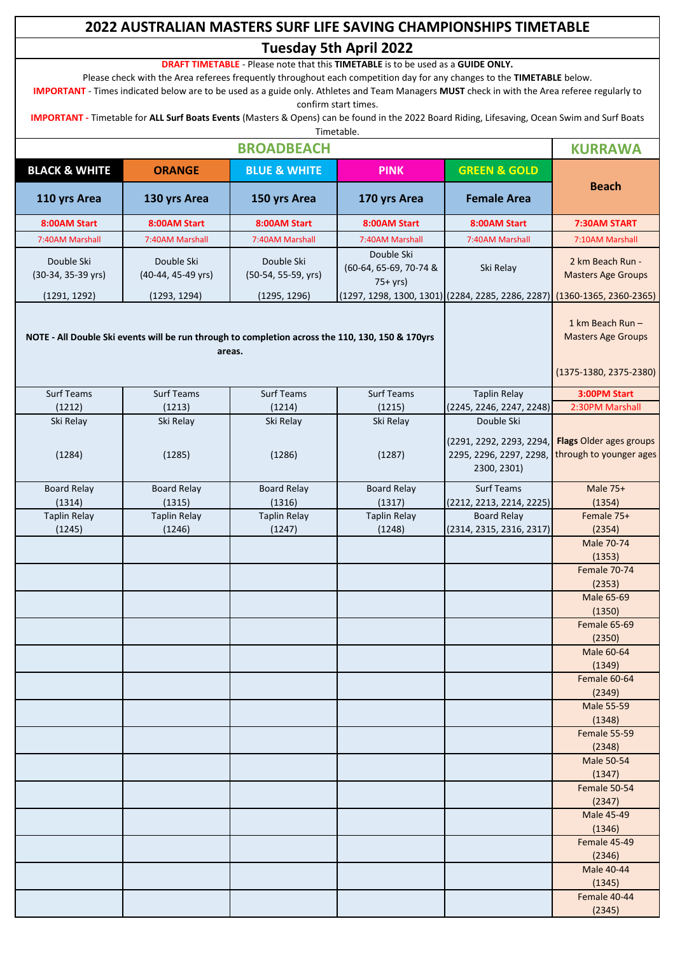# **2022 AUSTRALIAN MASTERS SURF LIFE SAVING CHAMPIONSHIPS TIMETABLE Tuesday 5th April 2022**

**DRAFT TIMETABLE** - Please note that this **TIMETABLE** is to be used as a **GUIDE ONLY.**

Please check with the Area referees frequently throughout each competition day for any changes to the **TIMETABLE** below.

**IMPORTANT** - Times indicated below are to be used as a guide only. Athletes and Team Managers **MUST** check in with the Area referee regularly to confirm start times.

**IMPORTANT -** Timetable for **ALL Surf Boats Events** (Masters & Opens) can be found in the 2022 Board Riding, Lifesaving, Ocean Swim and Surf Boats

|                                                                                                                  |                                                                                                                           |                                                   | Timetable.                                       |                                                                                  |                                                    |  |
|------------------------------------------------------------------------------------------------------------------|---------------------------------------------------------------------------------------------------------------------------|---------------------------------------------------|--------------------------------------------------|----------------------------------------------------------------------------------|----------------------------------------------------|--|
| <b>BROADBEACH</b>                                                                                                |                                                                                                                           |                                                   |                                                  |                                                                                  | <b>KURRAWA</b>                                     |  |
| <b>BLACK &amp; WHITE</b>                                                                                         | <b>ORANGE</b>                                                                                                             | <b>BLUE &amp; WHITE</b>                           | <b>PINK</b>                                      | <b>GREEN &amp; GOLD</b>                                                          |                                                    |  |
| 110 yrs Area                                                                                                     | 130 yrs Area                                                                                                              | 150 yrs Area                                      | 170 yrs Area                                     | <b>Female Area</b>                                                               | <b>Beach</b>                                       |  |
| 8:00AM Start                                                                                                     | 8:00AM Start                                                                                                              | 8:00AM Start                                      | 8:00AM Start                                     | 8:00AM Start                                                                     | 7:30AM START                                       |  |
| 7:40AM Marshall                                                                                                  | 7:40AM Marshall                                                                                                           | 7:40AM Marshall                                   | 7:40AM Marshall                                  | 7:40AM Marshall                                                                  | 7:10AM Marshall                                    |  |
| Double Ski<br>(30-34, 35-39 yrs)                                                                                 | Double Ski<br>(40-44, 45-49 yrs)<br>(1293, 1294)                                                                          | Double Ski<br>(50-54, 55-59, yrs)<br>(1295, 1296) | Double Ski<br>(60-64, 65-69, 70-74 &<br>$75+yrs$ | Ski Relay                                                                        | 2 km Beach Run -<br><b>Masters Age Groups</b>      |  |
| (1291, 1292)<br>NOTE - All Double Ski events will be run through to completion across the 110, 130, 150 & 170yrs | (1297, 1298, 1300, 1301) (2284, 2285, 2286, 2287) (1360-1365, 2360-2365)<br>1 km Beach Run -<br><b>Masters Age Groups</b> |                                                   |                                                  |                                                                                  |                                                    |  |
|                                                                                                                  |                                                                                                                           |                                                   |                                                  |                                                                                  | (1375-1380, 2375-2380)                             |  |
| <b>Surf Teams</b>                                                                                                | Surf Teams                                                                                                                | <b>Surf Teams</b>                                 | Surf Teams                                       | <b>Taplin Relay</b>                                                              | 3:00PM Start                                       |  |
| (1212)                                                                                                           | (1213)                                                                                                                    | (1214)                                            | (1215)                                           | (2245, 2246, 2247, 2248)                                                         | 2:30PM Marshall                                    |  |
| Ski Relay<br>(1284)                                                                                              | Ski Relay<br>(1285)                                                                                                       | Ski Relay<br>(1286)                               | Ski Relay<br>(1287)                              | Double Ski<br>(2291, 2292, 2293, 2294,<br>2295, 2296, 2297, 2298,<br>2300, 2301) | Flags Older ages groups<br>through to younger ages |  |
| <b>Board Relay</b>                                                                                               | <b>Board Relay</b>                                                                                                        | <b>Board Relay</b>                                | <b>Board Relay</b>                               | <b>Surf Teams</b>                                                                | Male 75+                                           |  |
| (1314)                                                                                                           | (1315)                                                                                                                    | (1316)                                            | (1317)                                           | (2212, 2213, 2214, 2225)                                                         | (1354)                                             |  |
| <b>Taplin Relay</b>                                                                                              | <b>Taplin Relay</b>                                                                                                       | <b>Taplin Relay</b>                               | <b>Taplin Relay</b>                              | <b>Board Relay</b>                                                               | Female 75+                                         |  |
| (1245)                                                                                                           | (1246)                                                                                                                    | (1247)                                            | (1248)                                           | (2314, 2315, 2316, 2317)                                                         | (2354)<br>Male 70-74<br>(1353)<br>Female 70-74     |  |
|                                                                                                                  |                                                                                                                           |                                                   |                                                  |                                                                                  | (2353)<br>Male 65-69                               |  |
|                                                                                                                  |                                                                                                                           |                                                   |                                                  |                                                                                  | (1350)<br>Female 65-69                             |  |
|                                                                                                                  |                                                                                                                           |                                                   |                                                  |                                                                                  | (2350)                                             |  |
|                                                                                                                  |                                                                                                                           |                                                   |                                                  |                                                                                  | Male 60-64<br>(1349)                               |  |
|                                                                                                                  |                                                                                                                           |                                                   |                                                  |                                                                                  | Female 60-64                                       |  |
|                                                                                                                  |                                                                                                                           |                                                   |                                                  |                                                                                  | (2349)                                             |  |
|                                                                                                                  |                                                                                                                           |                                                   |                                                  |                                                                                  | <b>Male 55-59</b><br>(1348)                        |  |
|                                                                                                                  |                                                                                                                           |                                                   |                                                  |                                                                                  | Female 55-59<br>(2348)                             |  |
|                                                                                                                  |                                                                                                                           |                                                   |                                                  |                                                                                  | Male 50-54<br>(1347)                               |  |
|                                                                                                                  |                                                                                                                           |                                                   |                                                  |                                                                                  | Female 50-54<br>(2347)                             |  |
|                                                                                                                  |                                                                                                                           |                                                   |                                                  |                                                                                  | Male 45-49<br>(1346)                               |  |
|                                                                                                                  |                                                                                                                           |                                                   |                                                  |                                                                                  | Female 45-49<br>(2346)                             |  |
|                                                                                                                  |                                                                                                                           |                                                   |                                                  |                                                                                  | Male 40-44                                         |  |
|                                                                                                                  |                                                                                                                           |                                                   |                                                  |                                                                                  | (1345)<br>Female 40-44                             |  |
|                                                                                                                  |                                                                                                                           |                                                   |                                                  |                                                                                  | (2345)                                             |  |